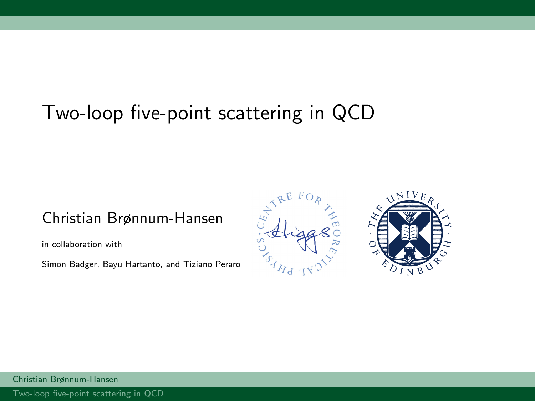## <span id="page-0-0"></span>Two-loop five-point scattering in QCD

## Christian Brønnum-Hansen

in collaboration with

Simon Badger, Bayu Hartanto, and Tiziano Peraro



Christian Brønnum-Hansen

[Two-loop five-point scattering in QCD](#page-5-0)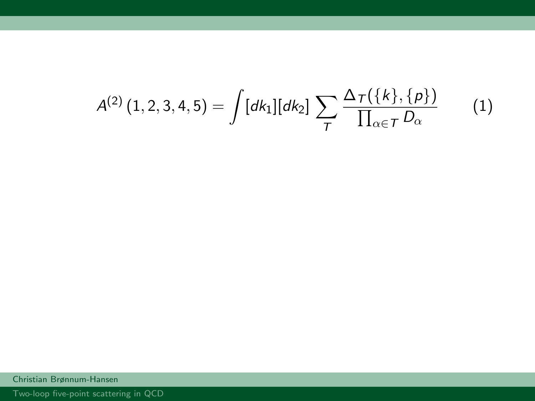$$
A^{(2)}(1,2,3,4,5) = \int [dk_1][dk_2] \sum_{\tau} \frac{\Delta_{\tau}(\{k\},\{p\})}{\prod_{\alpha \in \tau} D_{\alpha}} \qquad (1)
$$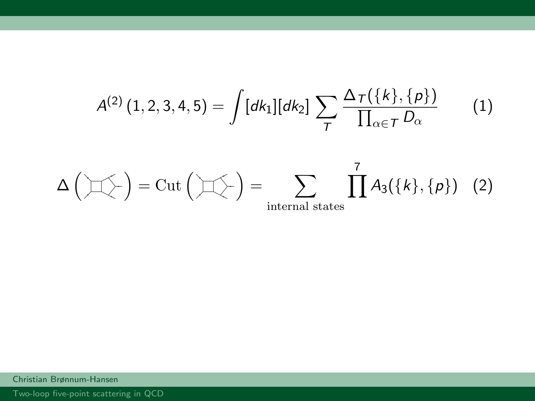$$
A^{(2)}(1,2,3,4,5) = \int [dk_1][dk_2] \sum_{\tau} \frac{\Delta_{\tau}(\{k\},\{p\})}{\prod_{\alpha \in \tau} D_{\alpha}} \qquad (1)
$$

$$
\Delta\left(\sum f_{\alpha}\right) = \text{Cut}\left(\sum f_{\alpha}\right) = \sum_{\text{internal states}} \prod_{\tau} \Delta_3(\{k\},\{p\}) \qquad (2)
$$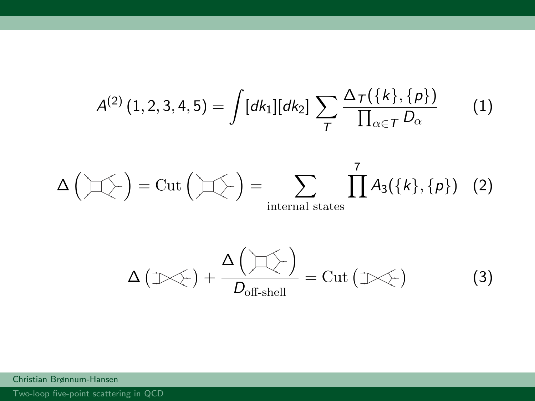$$
A^{(2)}(1,2,3,4,5) = \int [dk_1][dk_2] \sum_T \frac{\Delta_T(\lbrace k \rbrace, \lbrace p \rbrace)}{\prod_{\alpha \in T} D_{\alpha}} \qquad (1)
$$

$$
\Delta\left(\Box\left(\bigstar\right) = \text{Cut}\left(\Box\left\langle\bigstar\right\rangle\right) = \sum_{\text{internal states}} \prod_{\text{states}}^7 A_3(\lbrace k \rbrace, \lbrace p \rbrace) \quad (2)
$$

$$
\Delta\left(\mathbb{D}\left(\text{mod}\;+\frac{\Delta\left(\text{mod}\;}{D_{\text{off-shell}}}\right)\right) = \text{Cut}\left(\text{mod}\;+\right) \tag{3}
$$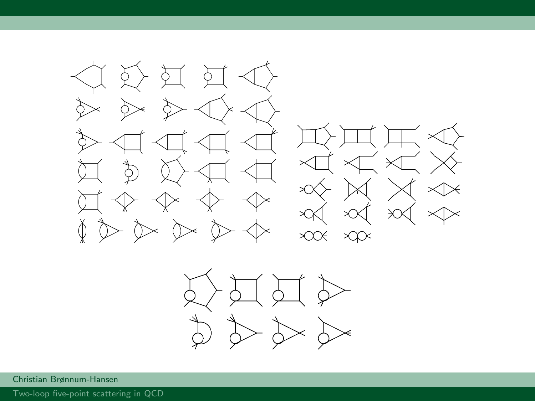



[Two-loop five-point scattering in QCD](#page-0-0)